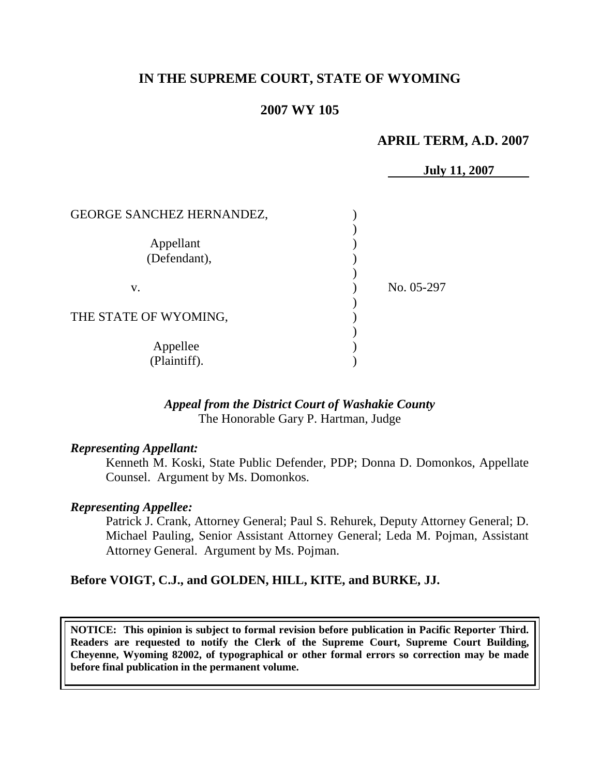# **IN THE SUPREME COURT, STATE OF WYOMING**

## **2007 WY 105**

### **APRIL TERM, A.D. 2007**

**July 11, 2007** GEORGE SANCHEZ HERNANDEZ,  $\lambda$ Appellant (1) (Defendant), ) v. No. 05-297 ) THE STATE OF WYOMING, ) Appellee (b) (Plaintiff). )

### *Appeal from the District Court of Washakie County* The Honorable Gary P. Hartman, Judge

#### *Representing Appellant:*

Kenneth M. Koski, State Public Defender, PDP; Donna D. Domonkos, Appellate Counsel. Argument by Ms. Domonkos.

#### *Representing Appellee:*

Patrick J. Crank, Attorney General; Paul S. Rehurek, Deputy Attorney General; D. Michael Pauling, Senior Assistant Attorney General; Leda M. Pojman, Assistant Attorney General. Argument by Ms. Pojman.

### **Before VOIGT, C.J., and GOLDEN, HILL, KITE, and BURKE, JJ.**

**NOTICE: This opinion is subject to formal revision before publication in Pacific Reporter Third. Readers are requested to notify the Clerk of the Supreme Court, Supreme Court Building, Cheyenne, Wyoming 82002, of typographical or other formal errors so correction may be made before final publication in the permanent volume.**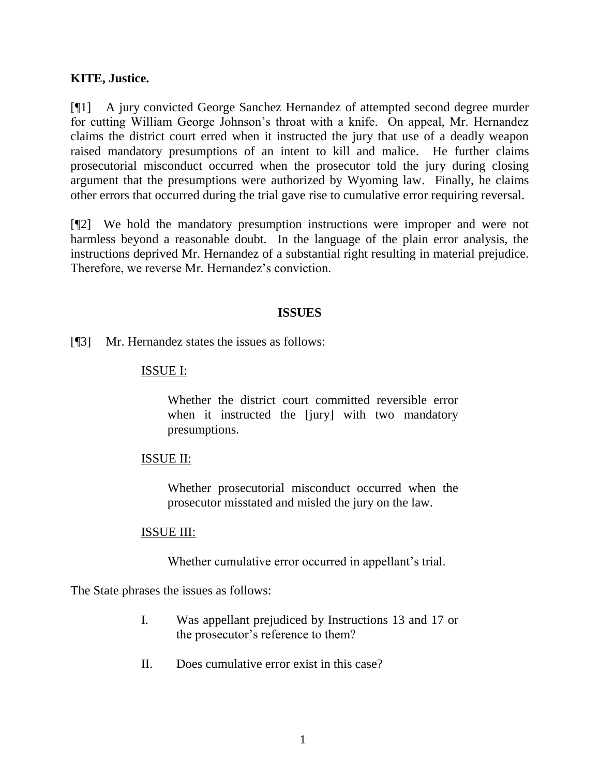### **KITE, Justice.**

[¶1] A jury convicted George Sanchez Hernandez of attempted second degree murder for cutting William George Johnson's throat with a knife. On appeal, Mr. Hernandez claims the district court erred when it instructed the jury that use of a deadly weapon raised mandatory presumptions of an intent to kill and malice. He further claims prosecutorial misconduct occurred when the prosecutor told the jury during closing argument that the presumptions were authorized by Wyoming law. Finally, he claims other errors that occurred during the trial gave rise to cumulative error requiring reversal.

[¶2] We hold the mandatory presumption instructions were improper and were not harmless beyond a reasonable doubt. In the language of the plain error analysis, the instructions deprived Mr. Hernandez of a substantial right resulting in material prejudice. Therefore, we reverse Mr. Hernandez's conviction.

### **ISSUES**

[¶3] Mr. Hernandez states the issues as follows:

#### ISSUE I:

Whether the district court committed reversible error when it instructed the [jury] with two mandatory presumptions.

### ISSUE II:

Whether prosecutorial misconduct occurred when the prosecutor misstated and misled the jury on the law.

#### ISSUE III:

Whether cumulative error occurred in appellant's trial.

The State phrases the issues as follows:

- I. Was appellant prejudiced by Instructions 13 and 17 or the prosecutor's reference to them?
- II. Does cumulative error exist in this case?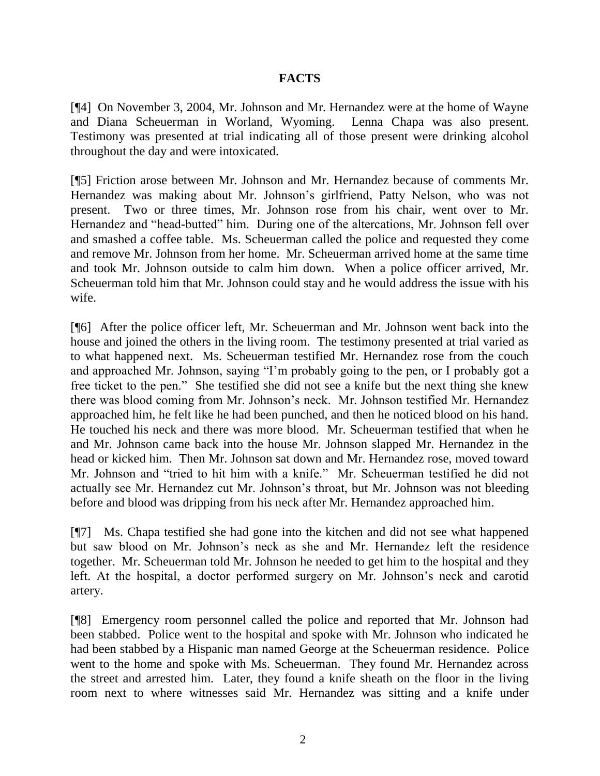## **FACTS**

[¶4] On November 3, 2004, Mr. Johnson and Mr. Hernandez were at the home of Wayne and Diana Scheuerman in Worland, Wyoming. Lenna Chapa was also present. Testimony was presented at trial indicating all of those present were drinking alcohol throughout the day and were intoxicated.

[¶5] Friction arose between Mr. Johnson and Mr. Hernandez because of comments Mr. Hernandez was making about Mr. Johnson's girlfriend, Patty Nelson, who was not present. Two or three times, Mr. Johnson rose from his chair, went over to Mr. Hernandez and "head-butted" him. During one of the altercations, Mr. Johnson fell over and smashed a coffee table. Ms. Scheuerman called the police and requested they come and remove Mr. Johnson from her home. Mr. Scheuerman arrived home at the same time and took Mr. Johnson outside to calm him down. When a police officer arrived, Mr. Scheuerman told him that Mr. Johnson could stay and he would address the issue with his wife.

[¶6] After the police officer left, Mr. Scheuerman and Mr. Johnson went back into the house and joined the others in the living room. The testimony presented at trial varied as to what happened next. Ms. Scheuerman testified Mr. Hernandez rose from the couch and approached Mr. Johnson, saying "I'm probably going to the pen, or I probably got a free ticket to the pen." She testified she did not see a knife but the next thing she knew there was blood coming from Mr. Johnson's neck. Mr. Johnson testified Mr. Hernandez approached him, he felt like he had been punched, and then he noticed blood on his hand. He touched his neck and there was more blood. Mr. Scheuerman testified that when he and Mr. Johnson came back into the house Mr. Johnson slapped Mr. Hernandez in the head or kicked him. Then Mr. Johnson sat down and Mr. Hernandez rose, moved toward Mr. Johnson and "tried to hit him with a knife." Mr. Scheuerman testified he did not actually see Mr. Hernandez cut Mr. Johnson's throat, but Mr. Johnson was not bleeding before and blood was dripping from his neck after Mr. Hernandez approached him.

[¶7] Ms. Chapa testified she had gone into the kitchen and did not see what happened but saw blood on Mr. Johnson's neck as she and Mr. Hernandez left the residence together. Mr. Scheuerman told Mr. Johnson he needed to get him to the hospital and they left. At the hospital, a doctor performed surgery on Mr. Johnson's neck and carotid artery.

[¶8] Emergency room personnel called the police and reported that Mr. Johnson had been stabbed. Police went to the hospital and spoke with Mr. Johnson who indicated he had been stabbed by a Hispanic man named George at the Scheuerman residence. Police went to the home and spoke with Ms. Scheuerman. They found Mr. Hernandez across the street and arrested him. Later, they found a knife sheath on the floor in the living room next to where witnesses said Mr. Hernandez was sitting and a knife under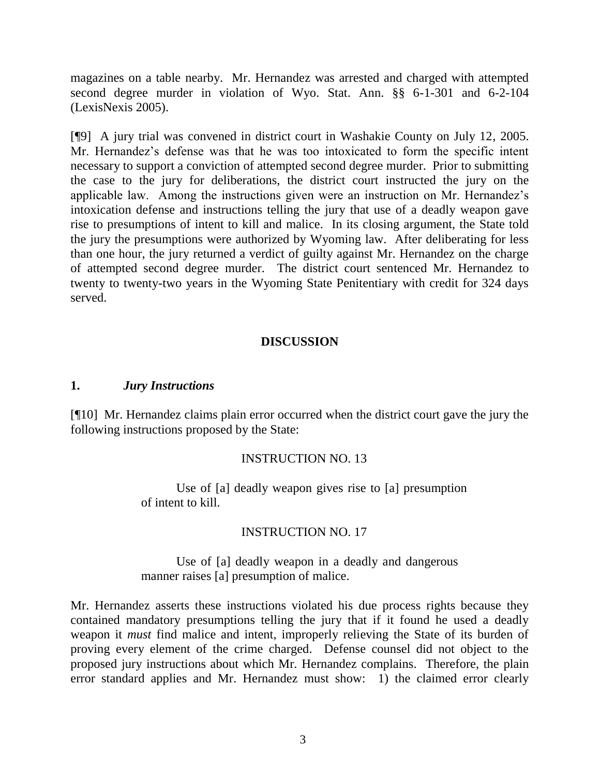magazines on a table nearby. Mr. Hernandez was arrested and charged with attempted second degree murder in violation of Wyo. Stat. Ann. §§ 6-1-301 and 6-2-104 (LexisNexis 2005).

[¶9] A jury trial was convened in district court in Washakie County on July 12, 2005. Mr. Hernandez's defense was that he was too intoxicated to form the specific intent necessary to support a conviction of attempted second degree murder. Prior to submitting the case to the jury for deliberations, the district court instructed the jury on the applicable law. Among the instructions given were an instruction on Mr. Hernandez's intoxication defense and instructions telling the jury that use of a deadly weapon gave rise to presumptions of intent to kill and malice. In its closing argument, the State told the jury the presumptions were authorized by Wyoming law. After deliberating for less than one hour, the jury returned a verdict of guilty against Mr. Hernandez on the charge of attempted second degree murder. The district court sentenced Mr. Hernandez to twenty to twenty-two years in the Wyoming State Penitentiary with credit for 324 days served.

## **DISCUSSION**

### **1.** *Jury Instructions*

[¶10] Mr. Hernandez claims plain error occurred when the district court gave the jury the following instructions proposed by the State:

### INSTRUCTION NO. 13

Use of [a] deadly weapon gives rise to [a] presumption of intent to kill.

### INSTRUCTION NO. 17

Use of [a] deadly weapon in a deadly and dangerous manner raises [a] presumption of malice.

Mr. Hernandez asserts these instructions violated his due process rights because they contained mandatory presumptions telling the jury that if it found he used a deadly weapon it *must* find malice and intent, improperly relieving the State of its burden of proving every element of the crime charged. Defense counsel did not object to the proposed jury instructions about which Mr. Hernandez complains. Therefore, the plain error standard applies and Mr. Hernandez must show: 1) the claimed error clearly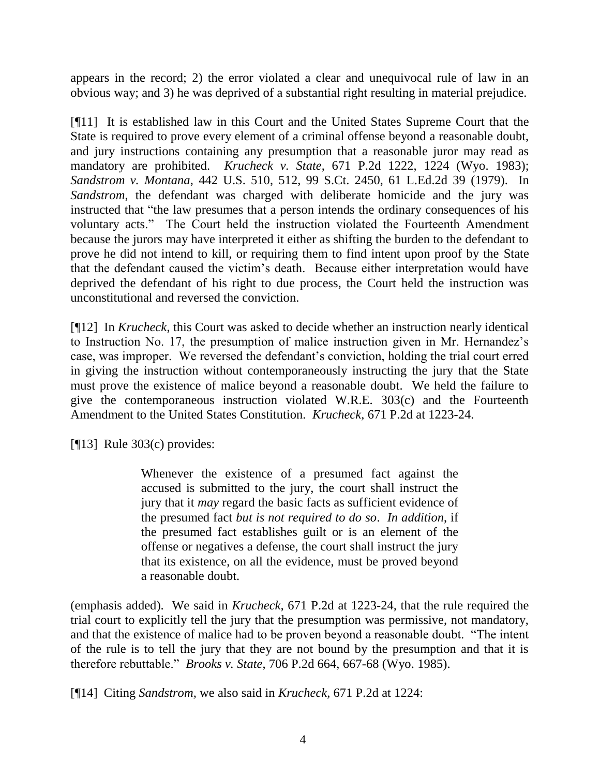appears in the record; 2) the error violated a clear and unequivocal rule of law in an obvious way; and 3) he was deprived of a substantial right resulting in material prejudice.

[¶11] It is established law in this Court and the United States Supreme Court that the State is required to prove every element of a criminal offense beyond a reasonable doubt, and jury instructions containing any presumption that a reasonable juror may read as mandatory are prohibited. *Krucheck v. State*, 671 P.2d 1222, 1224 (Wyo. 1983); *Sandstrom v. Montana*, 442 U.S. 510, 512, 99 S.Ct. 2450, 61 L.Ed.2d 39 (1979). In *Sandstrom*, the defendant was charged with deliberate homicide and the jury was instructed that "the law presumes that a person intends the ordinary consequences of his voluntary acts." The Court held the instruction violated the Fourteenth Amendment because the jurors may have interpreted it either as shifting the burden to the defendant to prove he did not intend to kill, or requiring them to find intent upon proof by the State that the defendant caused the victim's death. Because either interpretation would have deprived the defendant of his right to due process, the Court held the instruction was unconstitutional and reversed the conviction.

[¶12] In *Krucheck*, this Court was asked to decide whether an instruction nearly identical to Instruction No. 17, the presumption of malice instruction given in Mr. Hernandez's case, was improper. We reversed the defendant's conviction, holding the trial court erred in giving the instruction without contemporaneously instructing the jury that the State must prove the existence of malice beyond a reasonable doubt. We held the failure to give the contemporaneous instruction violated W.R.E. 303(c) and the Fourteenth Amendment to the United States Constitution. *Krucheck*, 671 P.2d at 1223-24.

[¶13] Rule 303(c) provides:

Whenever the existence of a presumed fact against the accused is submitted to the jury, the court shall instruct the jury that it *may* regard the basic facts as sufficient evidence of the presumed fact *but is not required to do so*. *In addition*, if the presumed fact establishes guilt or is an element of the offense or negatives a defense, the court shall instruct the jury that its existence, on all the evidence, must be proved beyond a reasonable doubt.

(emphasis added). We said in *Krucheck,* 671 P.2d at 1223-24*,* that the rule required the trial court to explicitly tell the jury that the presumption was permissive, not mandatory, and that the existence of malice had to be proven beyond a reasonable doubt. "The intent of the rule is to tell the jury that they are not bound by the presumption and that it is therefore rebuttable.‖ *Brooks v. State*, 706 P.2d 664, 667-68 (Wyo. 1985).

[¶14] Citing *Sandstrom,* we also said in *Krucheck*, 671 P.2d at 1224: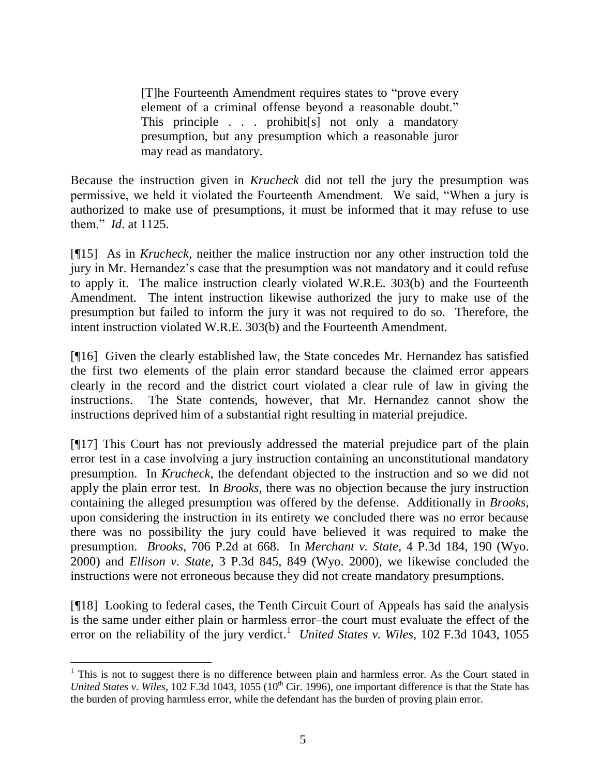[T]he Fourteenth Amendment requires states to "prove every" element of a criminal offense beyond a reasonable doubt." This principle . . . prohibit[s] not only a mandatory presumption, but any presumption which a reasonable juror may read as mandatory.

Because the instruction given in *Krucheck* did not tell the jury the presumption was permissive, we held it violated the Fourteenth Amendment. We said, "When a jury is authorized to make use of presumptions, it must be informed that it may refuse to use them.‖ *Id*. at 1125.

[¶15] As in *Krucheck*, neither the malice instruction nor any other instruction told the jury in Mr. Hernandez's case that the presumption was not mandatory and it could refuse to apply it. The malice instruction clearly violated W.R.E. 303(b) and the Fourteenth Amendment. The intent instruction likewise authorized the jury to make use of the presumption but failed to inform the jury it was not required to do so. Therefore, the intent instruction violated W.R.E. 303(b) and the Fourteenth Amendment.

[¶16] Given the clearly established law, the State concedes Mr. Hernandez has satisfied the first two elements of the plain error standard because the claimed error appears clearly in the record and the district court violated a clear rule of law in giving the instructions. The State contends, however, that Mr. Hernandez cannot show the instructions deprived him of a substantial right resulting in material prejudice.

[¶17] This Court has not previously addressed the material prejudice part of the plain error test in a case involving a jury instruction containing an unconstitutional mandatory presumption. In *Krucheck*, the defendant objected to the instruction and so we did not apply the plain error test. In *Brooks,* there was no objection because the jury instruction containing the alleged presumption was offered by the defense. Additionally in *Brooks*, upon considering the instruction in its entirety we concluded there was no error because there was no possibility the jury could have believed it was required to make the presumption. *Brooks*, 706 P.2d at 668. In *Merchant v. State*, 4 P.3d 184, 190 (Wyo. 2000) and *Ellison v. State*, 3 P.3d 845, 849 (Wyo. 2000), we likewise concluded the instructions were not erroneous because they did not create mandatory presumptions.

[¶18] Looking to federal cases, the Tenth Circuit Court of Appeals has said the analysis is the same under either plain or harmless error–the court must evaluate the effect of the error on the reliability of the jury verdict.<sup>1</sup> United States v. Wiles, 102 F.3d 1043, 1055

 $1$  This is not to suggest there is no difference between plain and harmless error. As the Court stated in *United States v. Wiles*, 102 F.3d 1043, 1055 (10<sup>th</sup> Cir. 1996), one important difference is that the State has the burden of proving harmless error, while the defendant has the burden of proving plain error.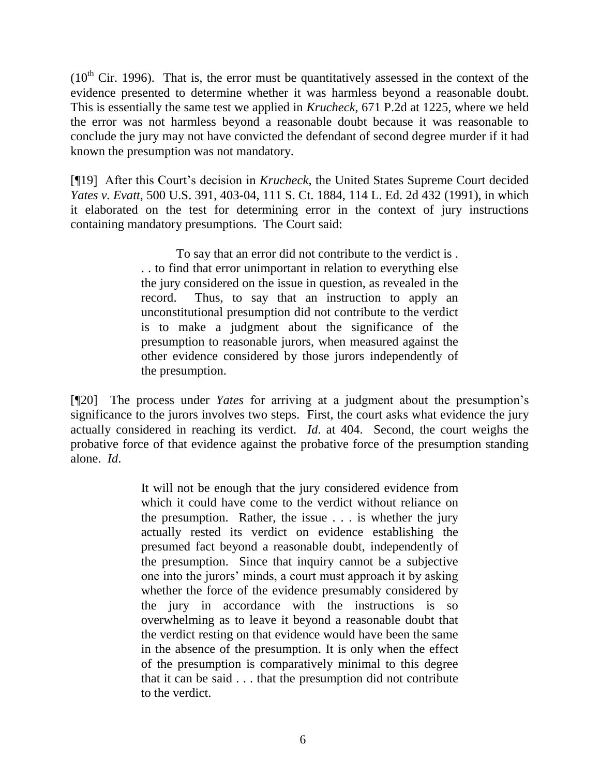$(10<sup>th</sup>$  Cir. 1996). That is, the error must be quantitatively assessed in the context of the evidence presented to determine whether it was harmless beyond a reasonable doubt. This is essentially the same test we applied in *Krucheck,* 671 P.2d at 1225*,* where we held the error was not harmless beyond a reasonable doubt because it was reasonable to conclude the jury may not have convicted the defendant of second degree murder if it had known the presumption was not mandatory.

[¶19] After this Court's decision in *Krucheck*, the United States Supreme Court decided *Yates v. Evatt*, 500 U.S. 391, 403-04, 111 S. Ct. 1884, 114 L. Ed. 2d 432 (1991), in which it elaborated on the test for determining error in the context of jury instructions containing mandatory presumptions. The Court said:

> To say that an error did not contribute to the verdict is . . . to find that error unimportant in relation to everything else the jury considered on the issue in question, as revealed in the record. Thus, to say that an instruction to apply an unconstitutional presumption did not contribute to the verdict is to make a judgment about the significance of the presumption to reasonable jurors, when measured against the other evidence considered by those jurors independently of the presumption.

[¶20] The process under *Yates* for arriving at a judgment about the presumption's significance to the jurors involves two steps. First, the court asks what evidence the jury actually considered in reaching its verdict. *Id*. at 404. Second, the court weighs the probative force of that evidence against the probative force of the presumption standing alone. *Id*.

> It will not be enough that the jury considered evidence from which it could have come to the verdict without reliance on the presumption. Rather, the issue . . . is whether the jury actually rested its verdict on evidence establishing the presumed fact beyond a reasonable doubt, independently of the presumption. Since that inquiry cannot be a subjective one into the jurors' minds, a court must approach it by asking whether the force of the evidence presumably considered by the jury in accordance with the instructions is so overwhelming as to leave it beyond a reasonable doubt that the verdict resting on that evidence would have been the same in the absence of the presumption. It is only when the effect of the presumption is comparatively minimal to this degree that it can be said . . . that the presumption did not contribute to the verdict.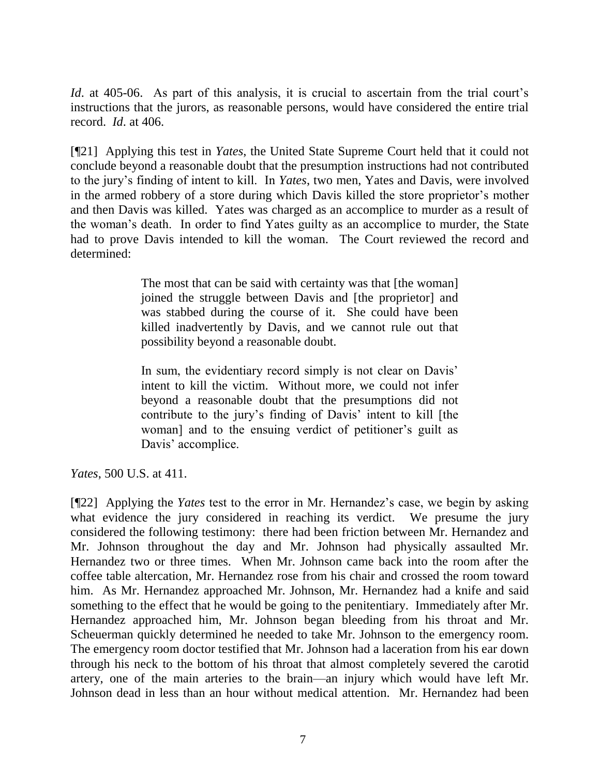*Id.* at 405-06. As part of this analysis, it is crucial to ascertain from the trial court's instructions that the jurors, as reasonable persons, would have considered the entire trial record. *Id*. at 406.

[¶21] Applying this test in *Yates*, the United State Supreme Court held that it could not conclude beyond a reasonable doubt that the presumption instructions had not contributed to the jury's finding of intent to kill. In *Yates*, two men, Yates and Davis, were involved in the armed robbery of a store during which Davis killed the store proprietor's mother and then Davis was killed. Yates was charged as an accomplice to murder as a result of the woman's death. In order to find Yates guilty as an accomplice to murder, the State had to prove Davis intended to kill the woman. The Court reviewed the record and determined:

> The most that can be said with certainty was that [the woman] joined the struggle between Davis and [the proprietor] and was stabbed during the course of it. She could have been killed inadvertently by Davis, and we cannot rule out that possibility beyond a reasonable doubt.

> In sum, the evidentiary record simply is not clear on Davis' intent to kill the victim. Without more, we could not infer beyond a reasonable doubt that the presumptions did not contribute to the jury's finding of Davis' intent to kill [the woman] and to the ensuing verdict of petitioner's guilt as Davis' accomplice.

*Yates*, 500 U.S. at 411.

[¶22] Applying the *Yates* test to the error in Mr. Hernandez's case, we begin by asking what evidence the jury considered in reaching its verdict. We presume the jury considered the following testimony: there had been friction between Mr. Hernandez and Mr. Johnson throughout the day and Mr. Johnson had physically assaulted Mr. Hernandez two or three times. When Mr. Johnson came back into the room after the coffee table altercation, Mr. Hernandez rose from his chair and crossed the room toward him. As Mr. Hernandez approached Mr. Johnson, Mr. Hernandez had a knife and said something to the effect that he would be going to the penitentiary. Immediately after Mr. Hernandez approached him, Mr. Johnson began bleeding from his throat and Mr. Scheuerman quickly determined he needed to take Mr. Johnson to the emergency room. The emergency room doctor testified that Mr. Johnson had a laceration from his ear down through his neck to the bottom of his throat that almost completely severed the carotid artery, one of the main arteries to the brain—an injury which would have left Mr. Johnson dead in less than an hour without medical attention. Mr. Hernandez had been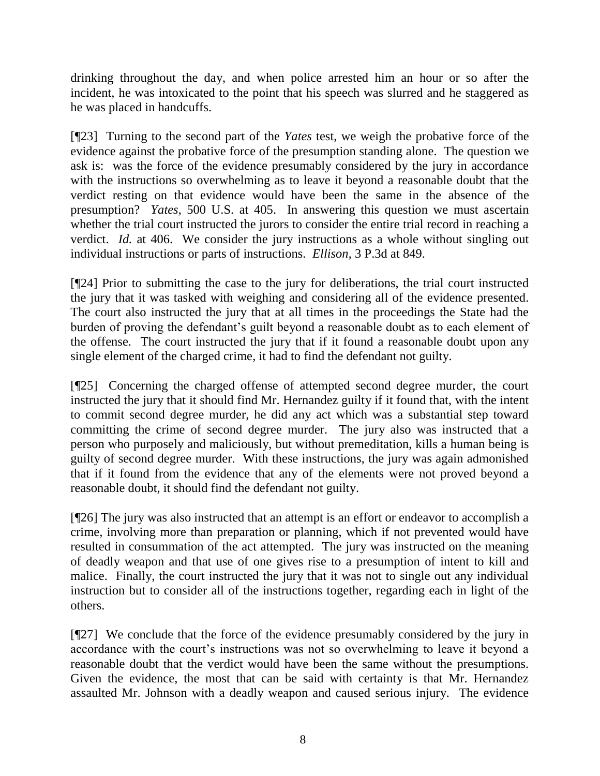drinking throughout the day, and when police arrested him an hour or so after the incident, he was intoxicated to the point that his speech was slurred and he staggered as he was placed in handcuffs.

[¶23] Turning to the second part of the *Yates* test, we weigh the probative force of the evidence against the probative force of the presumption standing alone. The question we ask is: was the force of the evidence presumably considered by the jury in accordance with the instructions so overwhelming as to leave it beyond a reasonable doubt that the verdict resting on that evidence would have been the same in the absence of the presumption? *Yates*, 500 U.S. at 405. In answering this question we must ascertain whether the trial court instructed the jurors to consider the entire trial record in reaching a verdict. *Id.* at 406. We consider the jury instructions as a whole without singling out individual instructions or parts of instructions. *Ellison*, 3 P.3d at 849.

[¶24] Prior to submitting the case to the jury for deliberations, the trial court instructed the jury that it was tasked with weighing and considering all of the evidence presented. The court also instructed the jury that at all times in the proceedings the State had the burden of proving the defendant's guilt beyond a reasonable doubt as to each element of the offense. The court instructed the jury that if it found a reasonable doubt upon any single element of the charged crime, it had to find the defendant not guilty.

[¶25] Concerning the charged offense of attempted second degree murder, the court instructed the jury that it should find Mr. Hernandez guilty if it found that, with the intent to commit second degree murder, he did any act which was a substantial step toward committing the crime of second degree murder. The jury also was instructed that a person who purposely and maliciously, but without premeditation, kills a human being is guilty of second degree murder. With these instructions, the jury was again admonished that if it found from the evidence that any of the elements were not proved beyond a reasonable doubt, it should find the defendant not guilty.

[¶26] The jury was also instructed that an attempt is an effort or endeavor to accomplish a crime, involving more than preparation or planning, which if not prevented would have resulted in consummation of the act attempted. The jury was instructed on the meaning of deadly weapon and that use of one gives rise to a presumption of intent to kill and malice. Finally, the court instructed the jury that it was not to single out any individual instruction but to consider all of the instructions together, regarding each in light of the others.

[¶27] We conclude that the force of the evidence presumably considered by the jury in accordance with the court's instructions was not so overwhelming to leave it beyond a reasonable doubt that the verdict would have been the same without the presumptions. Given the evidence, the most that can be said with certainty is that Mr. Hernandez assaulted Mr. Johnson with a deadly weapon and caused serious injury. The evidence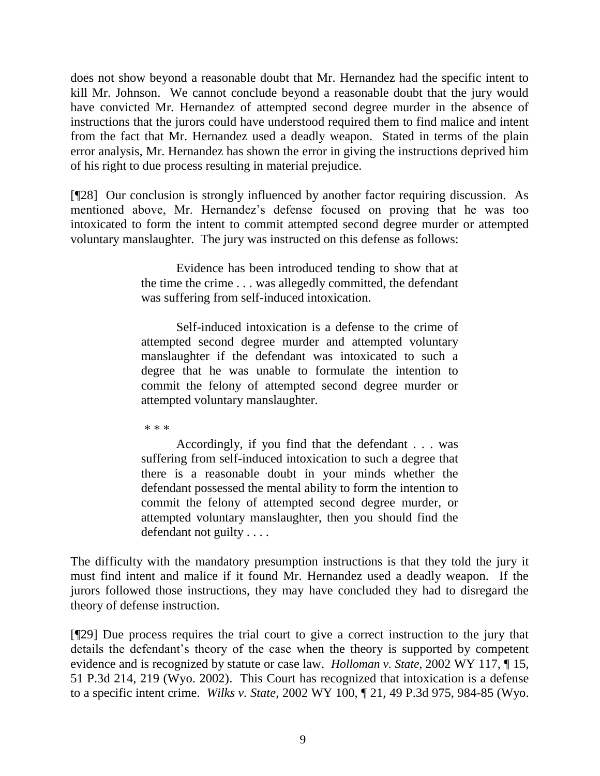does not show beyond a reasonable doubt that Mr. Hernandez had the specific intent to kill Mr. Johnson. We cannot conclude beyond a reasonable doubt that the jury would have convicted Mr. Hernandez of attempted second degree murder in the absence of instructions that the jurors could have understood required them to find malice and intent from the fact that Mr. Hernandez used a deadly weapon. Stated in terms of the plain error analysis, Mr. Hernandez has shown the error in giving the instructions deprived him of his right to due process resulting in material prejudice.

[¶28] Our conclusion is strongly influenced by another factor requiring discussion. As mentioned above, Mr. Hernandez's defense focused on proving that he was too intoxicated to form the intent to commit attempted second degree murder or attempted voluntary manslaughter. The jury was instructed on this defense as follows:

> Evidence has been introduced tending to show that at the time the crime . . . was allegedly committed, the defendant was suffering from self-induced intoxication.

> Self-induced intoxication is a defense to the crime of attempted second degree murder and attempted voluntary manslaughter if the defendant was intoxicated to such a degree that he was unable to formulate the intention to commit the felony of attempted second degree murder or attempted voluntary manslaughter.

\* \* \*

Accordingly, if you find that the defendant . . . was suffering from self-induced intoxication to such a degree that there is a reasonable doubt in your minds whether the defendant possessed the mental ability to form the intention to commit the felony of attempted second degree murder, or attempted voluntary manslaughter, then you should find the defendant not guilty . . . .

The difficulty with the mandatory presumption instructions is that they told the jury it must find intent and malice if it found Mr. Hernandez used a deadly weapon. If the jurors followed those instructions, they may have concluded they had to disregard the theory of defense instruction.

[¶29] Due process requires the trial court to give a correct instruction to the jury that details the defendant's theory of the case when the theory is supported by competent evidence and is recognized by statute or case law. *Holloman v. State*, 2002 WY 117, ¶ 15, 51 P.3d 214, 219 (Wyo. 2002). This Court has recognized that intoxication is a defense to a specific intent crime. *Wilks v. State*, 2002 WY 100, ¶ 21, 49 P.3d 975, 984-85 (Wyo.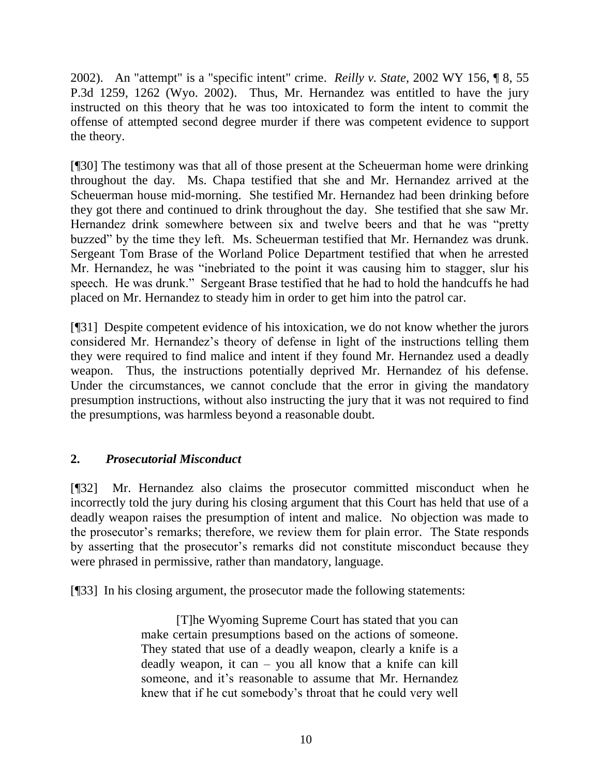2002). An "attempt" is a "specific intent" crime. *Reilly v. State*, 2002 WY 156, ¶ 8, 55 P.3d 1259, 1262 (Wyo. 2002). Thus, Mr. Hernandez was entitled to have the jury instructed on this theory that he was too intoxicated to form the intent to commit the offense of attempted second degree murder if there was competent evidence to support the theory.

[¶30] The testimony was that all of those present at the Scheuerman home were drinking throughout the day. Ms. Chapa testified that she and Mr. Hernandez arrived at the Scheuerman house mid-morning. She testified Mr. Hernandez had been drinking before they got there and continued to drink throughout the day. She testified that she saw Mr. Hernandez drink somewhere between six and twelve beers and that he was "pretty buzzed" by the time they left. Ms. Scheuerman testified that Mr. Hernandez was drunk. Sergeant Tom Brase of the Worland Police Department testified that when he arrested Mr. Hernandez, he was "inebriated to the point it was causing him to stagger, slur his speech. He was drunk." Sergeant Brase testified that he had to hold the handcuffs he had placed on Mr. Hernandez to steady him in order to get him into the patrol car.

[¶31] Despite competent evidence of his intoxication, we do not know whether the jurors considered Mr. Hernandez's theory of defense in light of the instructions telling them they were required to find malice and intent if they found Mr. Hernandez used a deadly weapon. Thus, the instructions potentially deprived Mr. Hernandez of his defense. Under the circumstances, we cannot conclude that the error in giving the mandatory presumption instructions, without also instructing the jury that it was not required to find the presumptions, was harmless beyond a reasonable doubt.

# **2.** *Prosecutorial Misconduct*

[¶32] Mr. Hernandez also claims the prosecutor committed misconduct when he incorrectly told the jury during his closing argument that this Court has held that use of a deadly weapon raises the presumption of intent and malice. No objection was made to the prosecutor's remarks; therefore, we review them for plain error. The State responds by asserting that the prosecutor's remarks did not constitute misconduct because they were phrased in permissive, rather than mandatory, language.

[¶33] In his closing argument, the prosecutor made the following statements:

[T]he Wyoming Supreme Court has stated that you can make certain presumptions based on the actions of someone. They stated that use of a deadly weapon, clearly a knife is a deadly weapon, it can – you all know that a knife can kill someone, and it's reasonable to assume that Mr. Hernandez knew that if he cut somebody's throat that he could very well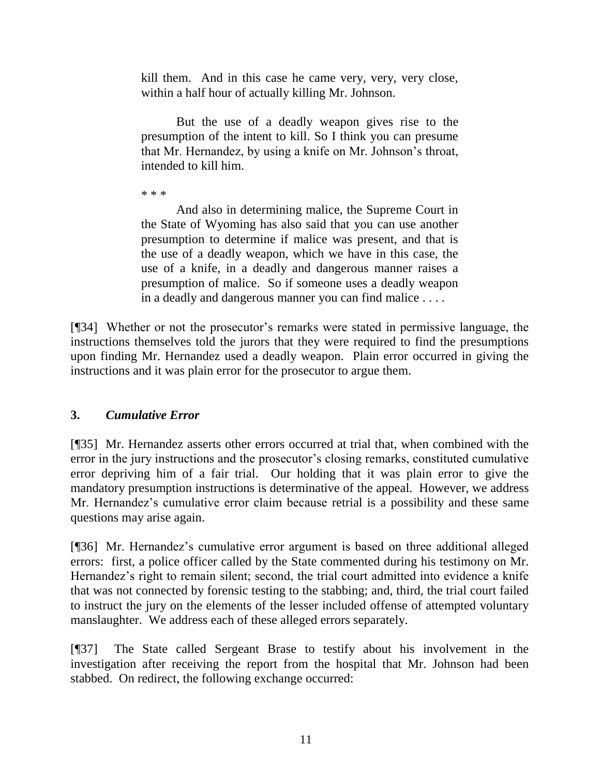kill them. And in this case he came very, very, very close, within a half hour of actually killing Mr. Johnson.

But the use of a deadly weapon gives rise to the presumption of the intent to kill. So I think you can presume that Mr. Hernandez, by using a knife on Mr. Johnson's throat, intended to kill him.

\* \* \*

And also in determining malice, the Supreme Court in the State of Wyoming has also said that you can use another presumption to determine if malice was present, and that is the use of a deadly weapon, which we have in this case, the use of a knife, in a deadly and dangerous manner raises a presumption of malice. So if someone uses a deadly weapon in a deadly and dangerous manner you can find malice . . . .

[¶34] Whether or not the prosecutor's remarks were stated in permissive language, the instructions themselves told the jurors that they were required to find the presumptions upon finding Mr. Hernandez used a deadly weapon. Plain error occurred in giving the instructions and it was plain error for the prosecutor to argue them.

## **3.** *Cumulative Error*

[¶35] Mr. Hernandez asserts other errors occurred at trial that, when combined with the error in the jury instructions and the prosecutor's closing remarks, constituted cumulative error depriving him of a fair trial. Our holding that it was plain error to give the mandatory presumption instructions is determinative of the appeal. However, we address Mr. Hernandez's cumulative error claim because retrial is a possibility and these same questions may arise again.

[¶36] Mr. Hernandez's cumulative error argument is based on three additional alleged errors: first, a police officer called by the State commented during his testimony on Mr. Hernandez's right to remain silent; second, the trial court admitted into evidence a knife that was not connected by forensic testing to the stabbing; and, third, the trial court failed to instruct the jury on the elements of the lesser included offense of attempted voluntary manslaughter. We address each of these alleged errors separately.

[¶37] The State called Sergeant Brase to testify about his involvement in the investigation after receiving the report from the hospital that Mr. Johnson had been stabbed. On redirect, the following exchange occurred: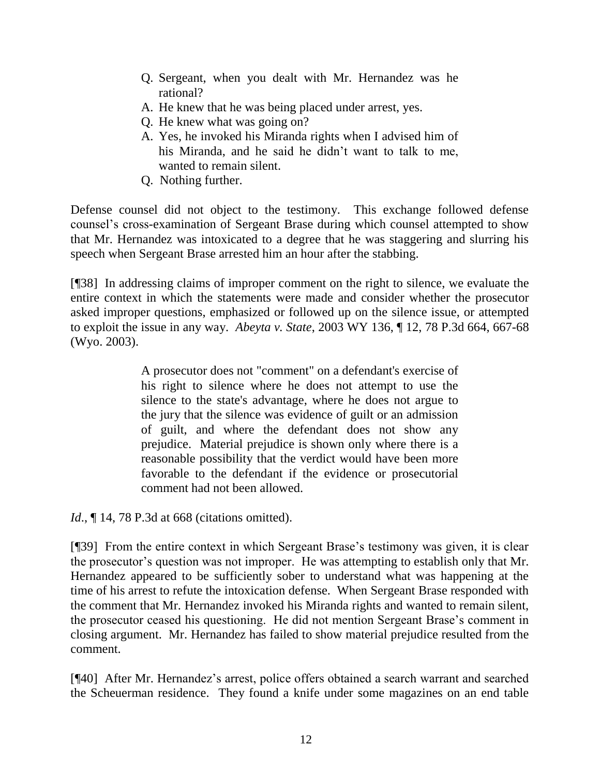- Q. Sergeant, when you dealt with Mr. Hernandez was he rational?
- A. He knew that he was being placed under arrest, yes.
- Q. He knew what was going on?
- A. Yes, he invoked his Miranda rights when I advised him of his Miranda, and he said he didn't want to talk to me, wanted to remain silent.
- Q. Nothing further.

Defense counsel did not object to the testimony. This exchange followed defense counsel's cross-examination of Sergeant Brase during which counsel attempted to show that Mr. Hernandez was intoxicated to a degree that he was staggering and slurring his speech when Sergeant Brase arrested him an hour after the stabbing.

[¶38] In addressing claims of improper comment on the right to silence, we evaluate the entire context in which the statements were made and consider whether the prosecutor asked improper questions, emphasized or followed up on the silence issue, or attempted to exploit the issue in any way. *Abeyta v. State*, 2003 WY 136, ¶ 12, 78 P.3d 664, 667-68 (Wyo. 2003).

> A prosecutor does not "comment" on a defendant's exercise of his right to silence where he does not attempt to use the silence to the state's advantage, where he does not argue to the jury that the silence was evidence of guilt or an admission of guilt, and where the defendant does not show any prejudice. Material prejudice is shown only where there is a reasonable possibility that the verdict would have been more favorable to the defendant if the evidence or prosecutorial comment had not been allowed.

*Id.*, **[14, 78 P.3d at 668 (citations omitted).** 

[¶39] From the entire context in which Sergeant Brase's testimony was given, it is clear the prosecutor's question was not improper. He was attempting to establish only that Mr. Hernandez appeared to be sufficiently sober to understand what was happening at the time of his arrest to refute the intoxication defense. When Sergeant Brase responded with the comment that Mr. Hernandez invoked his Miranda rights and wanted to remain silent, the prosecutor ceased his questioning. He did not mention Sergeant Brase's comment in closing argument. Mr. Hernandez has failed to show material prejudice resulted from the comment.

[¶40] After Mr. Hernandez's arrest, police offers obtained a search warrant and searched the Scheuerman residence. They found a knife under some magazines on an end table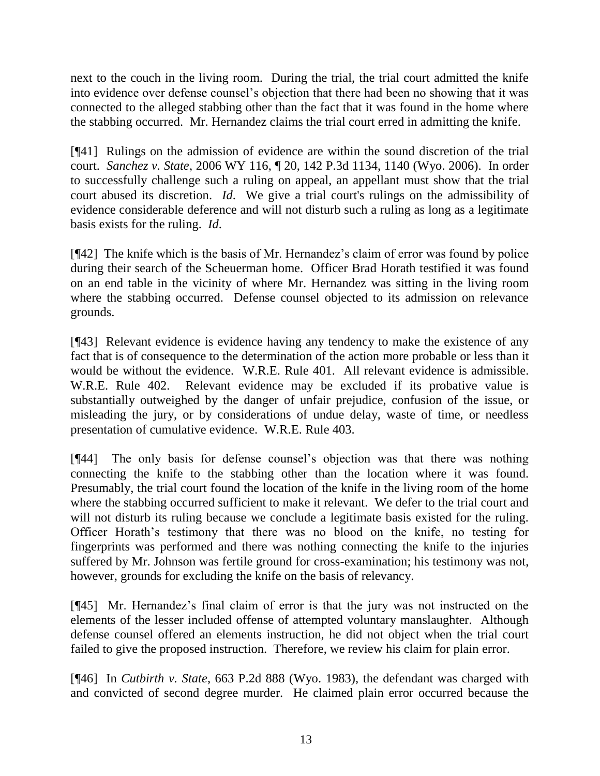next to the couch in the living room. During the trial, the trial court admitted the knife into evidence over defense counsel's objection that there had been no showing that it was connected to the alleged stabbing other than the fact that it was found in the home where the stabbing occurred. Mr. Hernandez claims the trial court erred in admitting the knife.

[¶41] Rulings on the admission of evidence are within the sound discretion of the trial court. *Sanchez v. State*, 2006 WY 116, ¶ 20, 142 P.3d 1134, 1140 (Wyo. 2006). In order to successfully challenge such a ruling on appeal, an appellant must show that the trial court abused its discretion. *Id*. We give a trial court's rulings on the admissibility of evidence considerable deference and will not disturb such a ruling as long as a legitimate basis exists for the ruling. *Id*.

[¶42] The knife which is the basis of Mr. Hernandez's claim of error was found by police during their search of the Scheuerman home. Officer Brad Horath testified it was found on an end table in the vicinity of where Mr. Hernandez was sitting in the living room where the stabbing occurred. Defense counsel objected to its admission on relevance grounds.

[¶43] Relevant evidence is evidence having any tendency to make the existence of any fact that is of consequence to the determination of the action more probable or less than it would be without the evidence. W.R.E. Rule 401. All relevant evidence is admissible. W.R.E. Rule 402. Relevant evidence may be excluded if its probative value is substantially outweighed by the danger of unfair prejudice, confusion of the issue, or misleading the jury, or by considerations of undue delay, waste of time, or needless presentation of cumulative evidence. W.R.E. Rule 403.

[¶44] The only basis for defense counsel's objection was that there was nothing connecting the knife to the stabbing other than the location where it was found. Presumably, the trial court found the location of the knife in the living room of the home where the stabbing occurred sufficient to make it relevant. We defer to the trial court and will not disturb its ruling because we conclude a legitimate basis existed for the ruling. Officer Horath's testimony that there was no blood on the knife, no testing for fingerprints was performed and there was nothing connecting the knife to the injuries suffered by Mr. Johnson was fertile ground for cross-examination; his testimony was not, however, grounds for excluding the knife on the basis of relevancy.

[¶45] Mr. Hernandez's final claim of error is that the jury was not instructed on the elements of the lesser included offense of attempted voluntary manslaughter. Although defense counsel offered an elements instruction, he did not object when the trial court failed to give the proposed instruction. Therefore, we review his claim for plain error.

[¶46] In *Cutbirth v. State*, 663 P.2d 888 (Wyo. 1983), the defendant was charged with and convicted of second degree murder. He claimed plain error occurred because the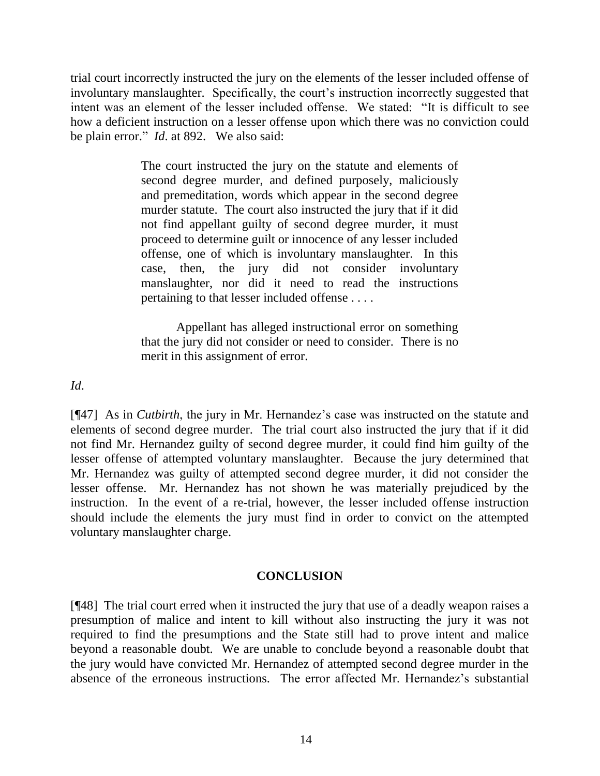trial court incorrectly instructed the jury on the elements of the lesser included offense of involuntary manslaughter. Specifically, the court's instruction incorrectly suggested that intent was an element of the lesser included offense. We stated: "It is difficult to see how a deficient instruction on a lesser offense upon which there was no conviction could be plain error." *Id.* at 892. We also said:

> The court instructed the jury on the statute and elements of second degree murder, and defined purposely, maliciously and premeditation, words which appear in the second degree murder statute. The court also instructed the jury that if it did not find appellant guilty of second degree murder, it must proceed to determine guilt or innocence of any lesser included offense, one of which is involuntary manslaughter. In this case, then, the jury did not consider involuntary manslaughter, nor did it need to read the instructions pertaining to that lesser included offense . . . .

> Appellant has alleged instructional error on something that the jury did not consider or need to consider. There is no merit in this assignment of error.

*Id*.

[¶47] As in *Cutbirth*, the jury in Mr. Hernandez's case was instructed on the statute and elements of second degree murder. The trial court also instructed the jury that if it did not find Mr. Hernandez guilty of second degree murder, it could find him guilty of the lesser offense of attempted voluntary manslaughter. Because the jury determined that Mr. Hernandez was guilty of attempted second degree murder, it did not consider the lesser offense. Mr. Hernandez has not shown he was materially prejudiced by the instruction. In the event of a re-trial, however, the lesser included offense instruction should include the elements the jury must find in order to convict on the attempted voluntary manslaughter charge.

### **CONCLUSION**

[¶48] The trial court erred when it instructed the jury that use of a deadly weapon raises a presumption of malice and intent to kill without also instructing the jury it was not required to find the presumptions and the State still had to prove intent and malice beyond a reasonable doubt. We are unable to conclude beyond a reasonable doubt that the jury would have convicted Mr. Hernandez of attempted second degree murder in the absence of the erroneous instructions. The error affected Mr. Hernandez's substantial